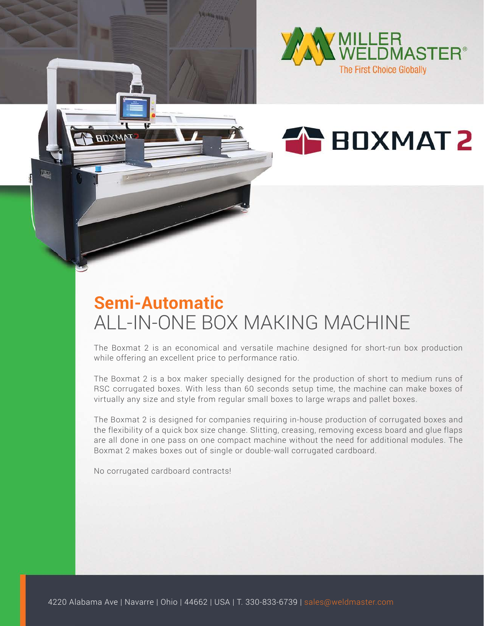



## **Semi-Automatic** ALL-IN-ONE BOX MAKING MACHINE

The Boxmat 2 is an economical and versatile machine designed for short-run box production while offering an excellent price to performance ratio.

The Boxmat 2 is a box maker specially designed for the production of short to medium runs of RSC corrugated boxes. With less than 60 seconds setup time, the machine can make boxes of virtually any size and style from regular small boxes to large wraps and pallet boxes.

The Boxmat 2 is designed for companies requiring in-house production of corrugated boxes and the flexibility of a quick box size change. Slitting, creasing, removing excess board and glue flaps are all done in one pass on one compact machine without the need for additional modules. The Boxmat 2 makes boxes out of single or double-wall corrugated cardboard.

No corrugated cardboard contracts!

**BDXWVA**